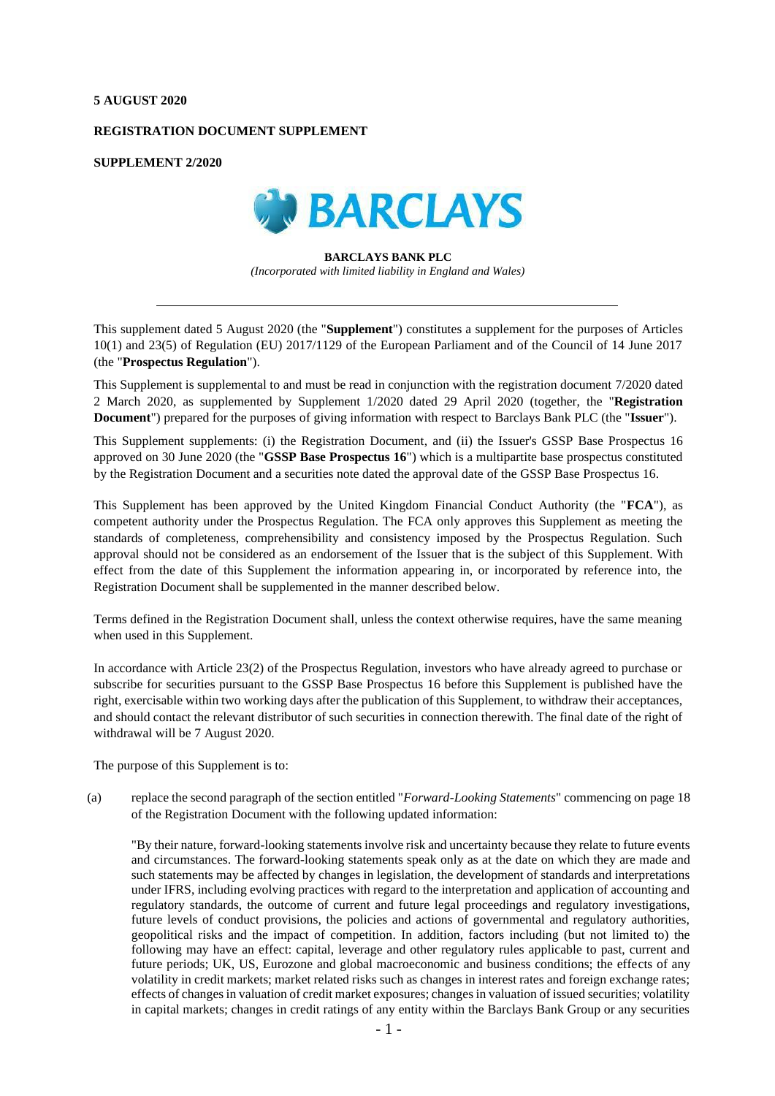#### **5 AUGUST 2020**

#### **REGISTRATION DOCUMENT SUPPLEMENT**

**SUPPLEMENT 2/2020**



**BARCLAYS BANK PLC** *(Incorporated with limited liability in England and Wales)*

This supplement dated 5 August 2020 (the "**Supplement**") constitutes a supplement for the purposes of Articles 10(1) and 23(5) of Regulation (EU) 2017/1129 of the European Parliament and of the Council of 14 June 2017 (the "**Prospectus Regulation**").

This Supplement is supplemental to and must be read in conjunction with the registration document 7/2020 dated 2 March 2020, as supplemented by Supplement 1/2020 dated 29 April 2020 (together, the "**Registration Document**") prepared for the purposes of giving information with respect to Barclays Bank PLC (the "**Issuer**").

This Supplement supplements: (i) the Registration Document, and (ii) the Issuer's GSSP Base Prospectus 16 approved on 30 June 2020 (the "**GSSP Base Prospectus 16**") which is a multipartite base prospectus constituted by the Registration Document and a securities note dated the approval date of the GSSP Base Prospectus 16.

This Supplement has been approved by the United Kingdom Financial Conduct Authority (the "**FCA**"), as competent authority under the Prospectus Regulation. The FCA only approves this Supplement as meeting the standards of completeness, comprehensibility and consistency imposed by the Prospectus Regulation. Such approval should not be considered as an endorsement of the Issuer that is the subject of this Supplement. With effect from the date of this Supplement the information appearing in, or incorporated by reference into, the Registration Document shall be supplemented in the manner described below.

Terms defined in the Registration Document shall, unless the context otherwise requires, have the same meaning when used in this Supplement.

In accordance with Article 23(2) of the Prospectus Regulation, investors who have already agreed to purchase or subscribe for securities pursuant to the GSSP Base Prospectus 16 before this Supplement is published have the right, exercisable within two working days after the publication of this Supplement, to withdraw their acceptances, and should contact the relevant distributor of such securities in connection therewith. The final date of the right of withdrawal will be 7 August 2020.

The purpose of this Supplement is to:

(a) replace the second paragraph of the section entitled "*Forward-Looking Statements*" commencing on page 18 of the Registration Document with the following updated information:

"By their nature, forward-looking statements involve risk and uncertainty because they relate to future events and circumstances. The forward-looking statements speak only as at the date on which they are made and such statements may be affected by changes in legislation, the development of standards and interpretations under IFRS, including evolving practices with regard to the interpretation and application of accounting and regulatory standards, the outcome of current and future legal proceedings and regulatory investigations, future levels of conduct provisions, the policies and actions of governmental and regulatory authorities, geopolitical risks and the impact of competition. In addition, factors including (but not limited to) the following may have an effect: capital, leverage and other regulatory rules applicable to past, current and future periods; UK, US, Eurozone and global macroeconomic and business conditions; the effects of any volatility in credit markets; market related risks such as changes in interest rates and foreign exchange rates; effects of changes in valuation of credit market exposures; changes in valuation of issued securities; volatility in capital markets; changes in credit ratings of any entity within the Barclays Bank Group or any securities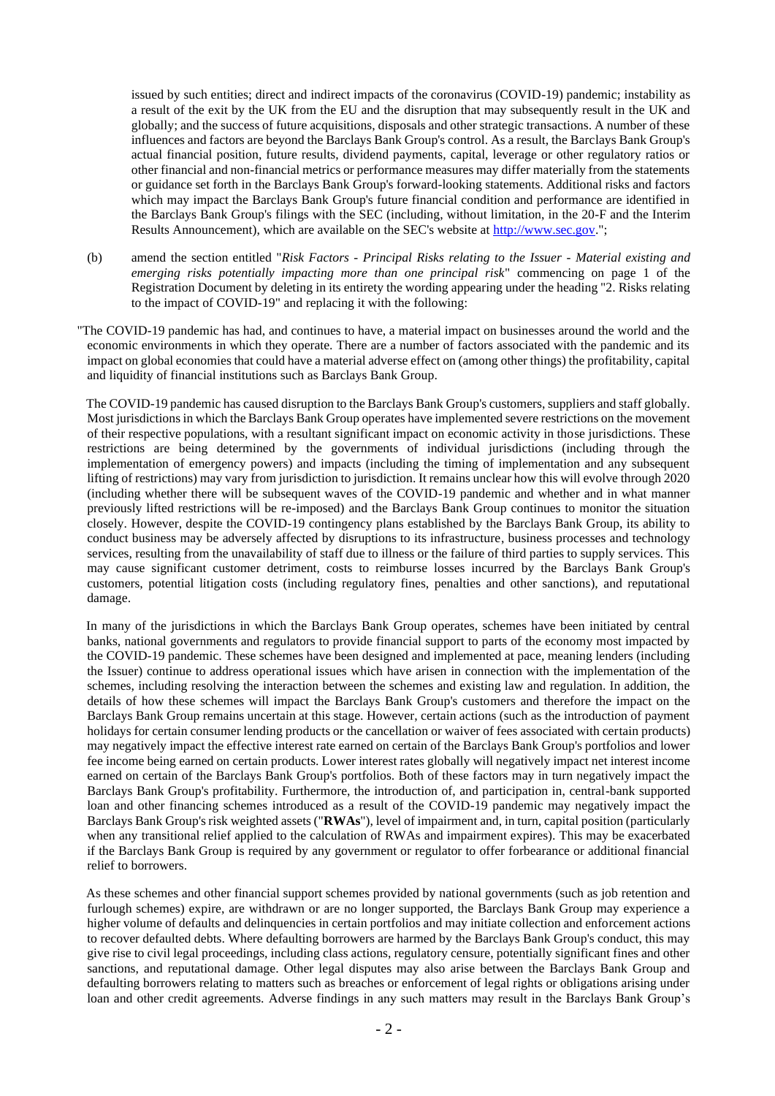issued by such entities; direct and indirect impacts of the coronavirus (COVID-19) pandemic; instability as a result of the exit by the UK from the EU and the disruption that may subsequently result in the UK and globally; and the success of future acquisitions, disposals and other strategic transactions. A number of these influences and factors are beyond the Barclays Bank Group's control. As a result, the Barclays Bank Group's actual financial position, future results, dividend payments, capital, leverage or other regulatory ratios or other financial and non-financial metrics or performance measures may differ materially from the statements or guidance set forth in the Barclays Bank Group's forward-looking statements. Additional risks and factors which may impact the Barclays Bank Group's future financial condition and performance are identified in the Barclays Bank Group's filings with the SEC (including, without limitation, in the 20-F and the Interim Results Announcement), which are available on the SEC's website at [http://www.sec.gov.](http://www.sec.gov/)";

(b) amend the section entitled "*Risk Factors - Principal Risks relating to the Issuer - Material existing and emerging risks potentially impacting more than one principal risk*" commencing on page 1 of the Registration Document by deleting in its entirety the wording appearing under the heading "2. Risks relating to the impact of COVID-19" and replacing it with the following:

"The COVID-19 pandemic has had, and continues to have, a material impact on businesses around the world and the economic environments in which they operate. There are a number of factors associated with the pandemic and its impact on global economies that could have a material adverse effect on (among other things) the profitability, capital and liquidity of financial institutions such as Barclays Bank Group.

The COVID-19 pandemic has caused disruption to the Barclays Bank Group's customers, suppliers and staff globally. Most jurisdictions in which the Barclays Bank Group operates have implemented severe restrictions on the movement of their respective populations, with a resultant significant impact on economic activity in those jurisdictions. These restrictions are being determined by the governments of individual jurisdictions (including through the implementation of emergency powers) and impacts (including the timing of implementation and any subsequent lifting of restrictions) may vary from jurisdiction to jurisdiction. It remains unclear how this will evolve through 2020 (including whether there will be subsequent waves of the COVID-19 pandemic and whether and in what manner previously lifted restrictions will be re-imposed) and the Barclays Bank Group continues to monitor the situation closely. However, despite the COVID-19 contingency plans established by the Barclays Bank Group, its ability to conduct business may be adversely affected by disruptions to its infrastructure, business processes and technology services, resulting from the unavailability of staff due to illness or the failure of third parties to supply services. This may cause significant customer detriment, costs to reimburse losses incurred by the Barclays Bank Group's customers, potential litigation costs (including regulatory fines, penalties and other sanctions), and reputational damage.

In many of the jurisdictions in which the Barclays Bank Group operates, schemes have been initiated by central banks, national governments and regulators to provide financial support to parts of the economy most impacted by the COVID-19 pandemic. These schemes have been designed and implemented at pace, meaning lenders (including the Issuer) continue to address operational issues which have arisen in connection with the implementation of the schemes, including resolving the interaction between the schemes and existing law and regulation. In addition, the details of how these schemes will impact the Barclays Bank Group's customers and therefore the impact on the Barclays Bank Group remains uncertain at this stage. However, certain actions (such as the introduction of payment holidays for certain consumer lending products or the cancellation or waiver of fees associated with certain products) may negatively impact the effective interest rate earned on certain of the Barclays Bank Group's portfolios and lower fee income being earned on certain products. Lower interest rates globally will negatively impact net interest income earned on certain of the Barclays Bank Group's portfolios. Both of these factors may in turn negatively impact the Barclays Bank Group's profitability. Furthermore, the introduction of, and participation in, central-bank supported loan and other financing schemes introduced as a result of the COVID-19 pandemic may negatively impact the Barclays Bank Group's risk weighted assets ("**RWAs**"), level of impairment and, in turn, capital position (particularly when any transitional relief applied to the calculation of RWAs and impairment expires). This may be exacerbated if the Barclays Bank Group is required by any government or regulator to offer forbearance or additional financial relief to borrowers.

As these schemes and other financial support schemes provided by national governments (such as job retention and furlough schemes) expire, are withdrawn or are no longer supported, the Barclays Bank Group may experience a higher volume of defaults and delinquencies in certain portfolios and may initiate collection and enforcement actions to recover defaulted debts. Where defaulting borrowers are harmed by the Barclays Bank Group's conduct, this may give rise to civil legal proceedings, including class actions, regulatory censure, potentially significant fines and other sanctions, and reputational damage. Other legal disputes may also arise between the Barclays Bank Group and defaulting borrowers relating to matters such as breaches or enforcement of legal rights or obligations arising under loan and other credit agreements. Adverse findings in any such matters may result in the Barclays Bank Group's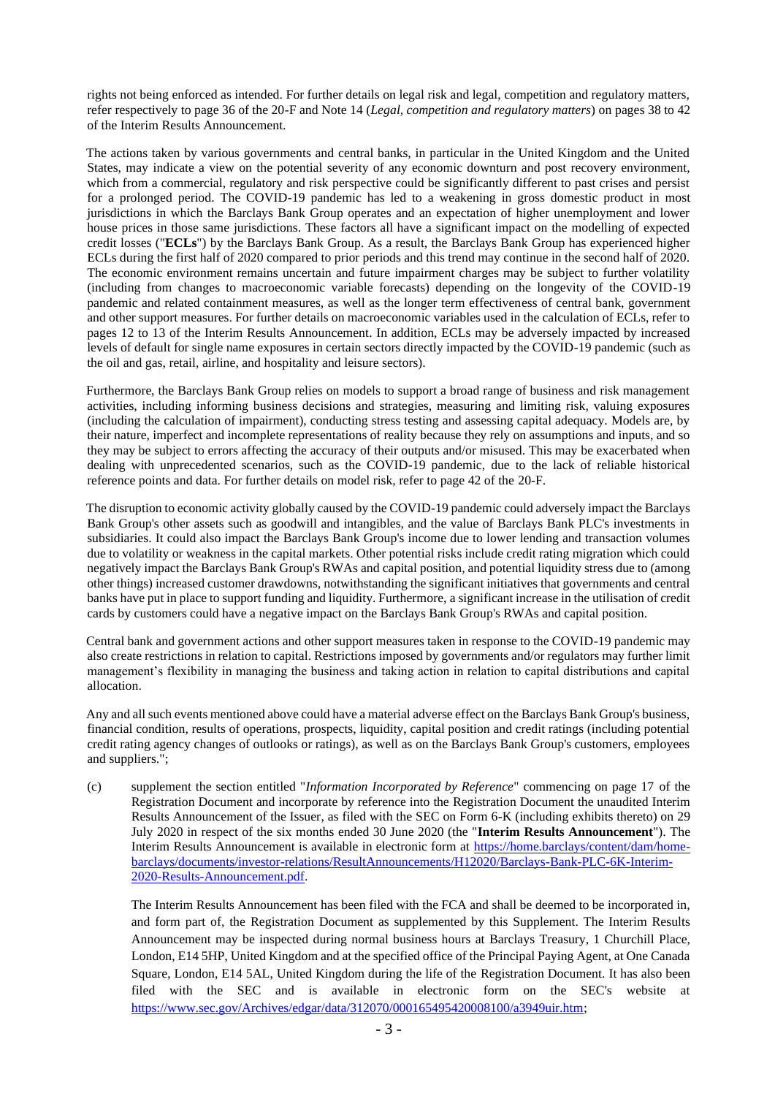rights not being enforced as intended. For further details on legal risk and legal, competition and regulatory matters, refer respectively to page 36 of the 20-F and Note 14 (*Legal, competition and regulatory matters*) on pages 38 to 42 of the Interim Results Announcement.

The actions taken by various governments and central banks, in particular in the United Kingdom and the United States, may indicate a view on the potential severity of any economic downturn and post recovery environment, which from a commercial, regulatory and risk perspective could be significantly different to past crises and persist for a prolonged period. The COVID-19 pandemic has led to a weakening in gross domestic product in most jurisdictions in which the Barclays Bank Group operates and an expectation of higher unemployment and lower house prices in those same jurisdictions. These factors all have a significant impact on the modelling of expected credit losses ("**ECLs**") by the Barclays Bank Group. As a result, the Barclays Bank Group has experienced higher ECLs during the first half of 2020 compared to prior periods and this trend may continue in the second half of 2020. The economic environment remains uncertain and future impairment charges may be subject to further volatility (including from changes to macroeconomic variable forecasts) depending on the longevity of the COVID-19 pandemic and related containment measures, as well as the longer term effectiveness of central bank, government and other support measures. For further details on macroeconomic variables used in the calculation of ECLs, refer to pages 12 to 13 of the Interim Results Announcement. In addition, ECLs may be adversely impacted by increased levels of default for single name exposures in certain sectors directly impacted by the COVID-19 pandemic (such as the oil and gas, retail, airline, and hospitality and leisure sectors).

Furthermore, the Barclays Bank Group relies on models to support a broad range of business and risk management activities, including informing business decisions and strategies, measuring and limiting risk, valuing exposures (including the calculation of impairment), conducting stress testing and assessing capital adequacy. Models are, by their nature, imperfect and incomplete representations of reality because they rely on assumptions and inputs, and so they may be subject to errors affecting the accuracy of their outputs and/or misused. This may be exacerbated when dealing with unprecedented scenarios, such as the COVID-19 pandemic, due to the lack of reliable historical reference points and data. For further details on model risk, refer to page 42 of the 20-F.

The disruption to economic activity globally caused by the COVID-19 pandemic could adversely impact the Barclays Bank Group's other assets such as goodwill and intangibles, and the value of Barclays Bank PLC's investments in subsidiaries. It could also impact the Barclays Bank Group's income due to lower lending and transaction volumes due to volatility or weakness in the capital markets. Other potential risks include credit rating migration which could negatively impact the Barclays Bank Group's RWAs and capital position, and potential liquidity stress due to (among other things) increased customer drawdowns, notwithstanding the significant initiatives that governments and central banks have put in place to support funding and liquidity. Furthermore, a significant increase in the utilisation of credit cards by customers could have a negative impact on the Barclays Bank Group's RWAs and capital position.

Central bank and government actions and other support measures taken in response to the COVID-19 pandemic may also create restrictions in relation to capital. Restrictions imposed by governments and/or regulators may further limit management's flexibility in managing the business and taking action in relation to capital distributions and capital allocation.

Any and all such events mentioned above could have a material adverse effect on the Barclays Bank Group's business, financial condition, results of operations, prospects, liquidity, capital position and credit ratings (including potential credit rating agency changes of outlooks or ratings), as well as on the Barclays Bank Group's customers, employees and suppliers.";

(c) supplement the section entitled "*Information Incorporated by Reference*" commencing on page 17 of the Registration Document and incorporate by reference into the Registration Document the unaudited Interim Results Announcement of the Issuer, as filed with the SEC on Form 6-K (including exhibits thereto) on 29 July 2020 in respect of the six months ended 30 June 2020 (the "**Interim Results Announcement**"). The Interim Results Announcement is available in electronic form at [https://home.barclays/content/dam/home](https://home.barclays/content/dam/home-barclays/documents/investor-relations/ResultAnnouncements/H12020/Barclays-Bank-PLC-6K-Interim-2020-Results-Announcement.pdf)[barclays/documents/investor-relations/ResultAnnouncements/H12020/Barclays-Bank-PLC-6K-Interim-](https://home.barclays/content/dam/home-barclays/documents/investor-relations/ResultAnnouncements/H12020/Barclays-Bank-PLC-6K-Interim-2020-Results-Announcement.pdf)[2020-Results-Announcement.pdf.](https://home.barclays/content/dam/home-barclays/documents/investor-relations/ResultAnnouncements/H12020/Barclays-Bank-PLC-6K-Interim-2020-Results-Announcement.pdf)

The Interim Results Announcement has been filed with the FCA and shall be deemed to be incorporated in, and form part of, the Registration Document as supplemented by this Supplement. The Interim Results Announcement may be inspected during normal business hours at Barclays Treasury, 1 Churchill Place, London, E14 5HP, United Kingdom and at the specified office of the Principal Paying Agent, at One Canada Square, London, E14 5AL, United Kingdom during the life of the Registration Document. It has also been filed with the SEC and is available in electronic form on the SEC's website at [https://www.sec.gov/Archives/edgar/data/312070/000165495420008100/a3949uir.htm;](https://www.sec.gov/Archives/edgar/data/312070/000165495420008100/a3949uir.htm)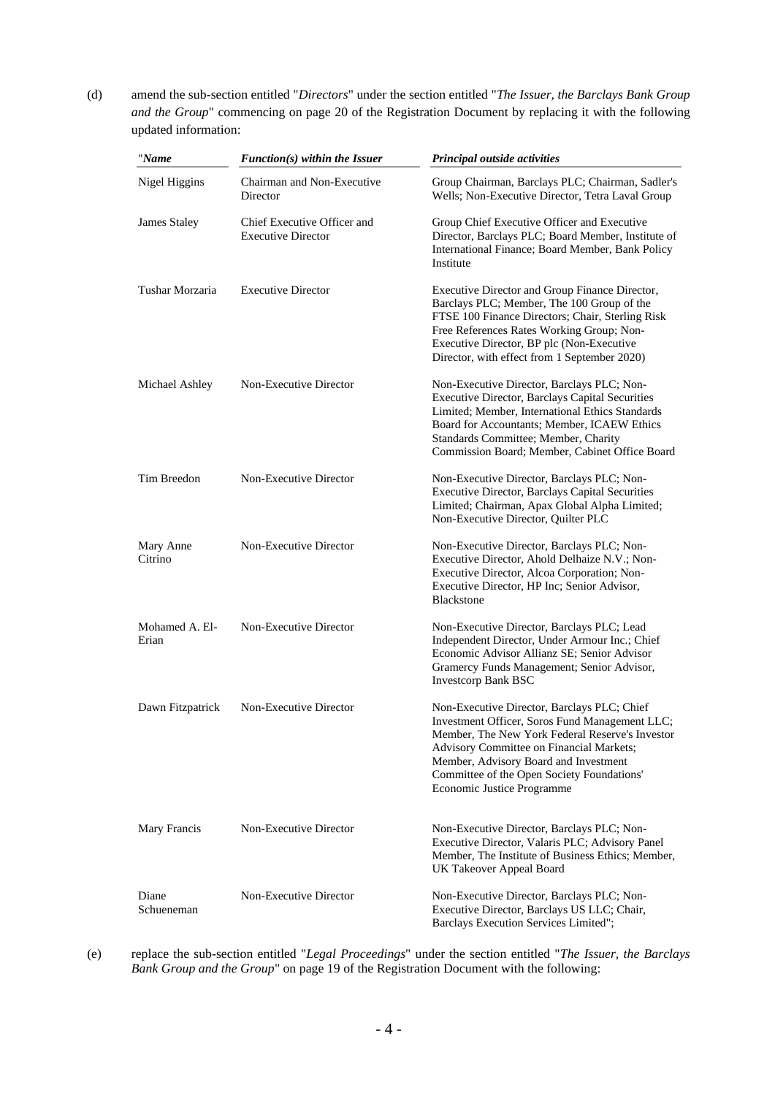(d) amend the sub-section entitled "*Directors*" under the section entitled "*The Issuer, the Barclays Bank Group and the Group*" commencing on page 20 of the Registration Document by replacing it with the following updated information:

| "Name                   | $Function(s)$ within the Issuer                          | Principal outside activities                                                                                                                                                                                                                                                                                      |
|-------------------------|----------------------------------------------------------|-------------------------------------------------------------------------------------------------------------------------------------------------------------------------------------------------------------------------------------------------------------------------------------------------------------------|
| Nigel Higgins           | Chairman and Non-Executive<br>Director                   | Group Chairman, Barclays PLC; Chairman, Sadler's<br>Wells; Non-Executive Director, Tetra Laval Group                                                                                                                                                                                                              |
| <b>James Staley</b>     | Chief Executive Officer and<br><b>Executive Director</b> | Group Chief Executive Officer and Executive<br>Director, Barclays PLC; Board Member, Institute of<br>International Finance; Board Member, Bank Policy<br>Institute                                                                                                                                                |
| Tushar Morzaria         | <b>Executive Director</b>                                | Executive Director and Group Finance Director,<br>Barclays PLC; Member, The 100 Group of the<br>FTSE 100 Finance Directors; Chair, Sterling Risk<br>Free References Rates Working Group; Non-<br>Executive Director, BP plc (Non-Executive<br>Director, with effect from 1 September 2020)                        |
| Michael Ashley          | Non-Executive Director                                   | Non-Executive Director, Barclays PLC; Non-<br>Executive Director, Barclays Capital Securities<br>Limited; Member, International Ethics Standards<br>Board for Accountants; Member, ICAEW Ethics<br>Standards Committee; Member, Charity<br>Commission Board; Member, Cabinet Office Board                         |
| Tim Breedon             | Non-Executive Director                                   | Non-Executive Director, Barclays PLC; Non-<br>Executive Director, Barclays Capital Securities<br>Limited; Chairman, Apax Global Alpha Limited;<br>Non-Executive Director, Quilter PLC                                                                                                                             |
| Mary Anne<br>Citrino    | Non-Executive Director                                   | Non-Executive Director, Barclays PLC; Non-<br>Executive Director, Ahold Delhaize N.V.; Non-<br>Executive Director, Alcoa Corporation; Non-<br>Executive Director, HP Inc; Senior Advisor,<br><b>Blackstone</b>                                                                                                    |
| Mohamed A. El-<br>Erian | Non-Executive Director                                   | Non-Executive Director, Barclays PLC; Lead<br>Independent Director, Under Armour Inc.; Chief<br>Economic Advisor Allianz SE; Senior Advisor<br>Gramercy Funds Management; Senior Advisor,<br><b>Investcorp Bank BSC</b>                                                                                           |
| Dawn Fitzpatrick        | Non-Executive Director                                   | Non-Executive Director, Barclays PLC; Chief<br>Investment Officer, Soros Fund Management LLC;<br>Member, The New York Federal Reserve's Investor<br>Advisory Committee on Financial Markets;<br>Member, Advisory Board and Investment<br>Committee of the Open Society Foundations'<br>Economic Justice Programme |
| Mary Francis            | Non-Executive Director                                   | Non-Executive Director, Barclays PLC; Non-<br>Executive Director, Valaris PLC; Advisory Panel<br>Member, The Institute of Business Ethics; Member,<br>UK Takeover Appeal Board                                                                                                                                    |
| Diane<br>Schueneman     | Non-Executive Director                                   | Non-Executive Director, Barclays PLC; Non-<br>Executive Director, Barclays US LLC; Chair,<br>Barclays Execution Services Limited";                                                                                                                                                                                |

(e) replace the sub-section entitled "*Legal Proceedings*" under the section entitled "*The Issuer, the Barclays Bank Group and the Group*" on page 19 of the Registration Document with the following: